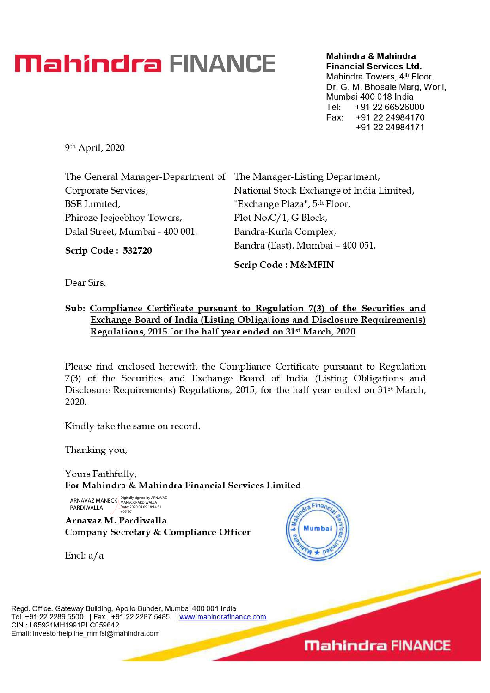## **Mahindra FINANCE Mahindra & Mahindra**

**Financial Services Ltd.**  Mahindra Towers, 4<sup>th</sup> Floor,

Dr. G. M. Bhosale Marg, Worli, Mumbai 400 018 India Tel: +91 22 66526000 Fax: +91 22 24984170 +91 22 24984171

9th April, 2020

| The General Manager-Department of The Manager-Listing Department, |                                           |
|-------------------------------------------------------------------|-------------------------------------------|
| Corporate Services,                                               | National Stock Exchange of India Limited, |
| BSE Limited,                                                      | "Exchange Plaza", 5 <sup>th</sup> Floor,  |
| Phiroze Jeejeebhoy Towers,                                        | Plot No.C/1, G Block,                     |
| Dalal Street, Mumbai - 400 001.                                   | Bandra-Kurla Complex,                     |
| <b>Scrip Code: 532720</b>                                         | Bandra (East), Mumbai - 400 051.          |

**Scrip Code : M&MFIN** 

**Dear Sirs,** 

## **Sub: Compliance Certificate pursuant to Regulation 7(3) of the Securities and Exchange Board of India (Listing Obligations and Disclosure Requirements) Regulations, 2015 for the half year ended on 315t March, 2020**

**Please find enclosed herewith** the Compliance Certificate pursuant to Regulation 7(3) of the Securities and Exchange Board of India (Listing Obligations and Disclosure Requirements) Regulations, 2015, for the half year ended on  $31<sup>st</sup>$  March, 2020.

Kindly take the same on record.

Thanking you,

Yours Faithfully, For **Mahindra & Mahindra Financial Services Limited** 

ARNAVAZ MANECK Bigitally signed by ARNAVAZ PARDIWALLA Date: 2020.04.09 18:14:31 +05'30'

**Arnavaz M. Pardiwalla Company Secretary & Compliance Officer** 



Encl: a/a

Regd. Office: Gateway Building, Apollo Bunder, Mumbai 400 001 India Tel: +91 22 2289 5500 | Fax: +91 22 2287 5485 | www.mahindrafinance.com CIN : L65921MH1991PLC059642 Email: investorhelpline\_mmfsl@mahindra.com

**Mahindra FINANCE**